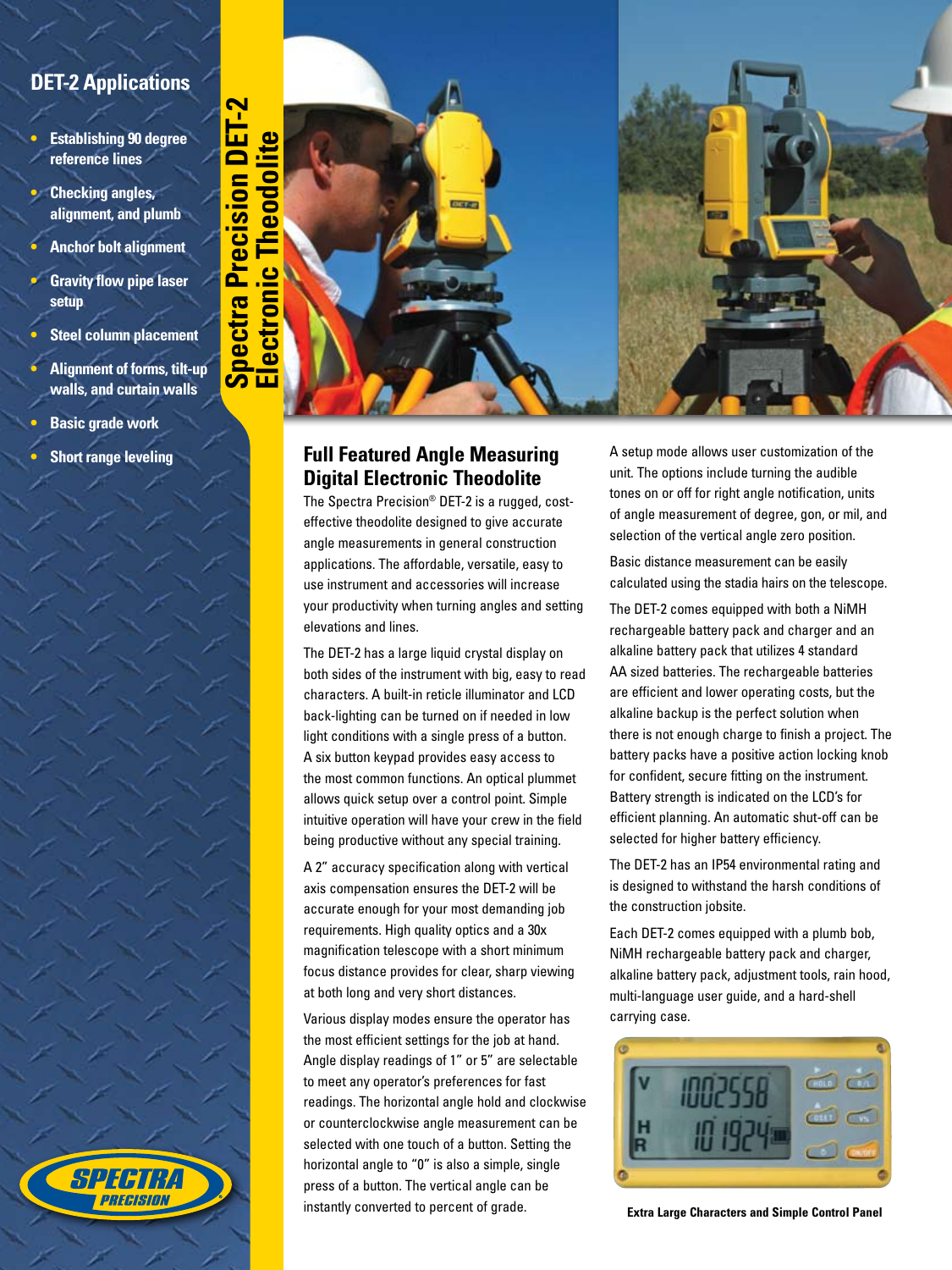## **DET-2 Applications**

**• Establishing 90 degree reference lines**

- **• Checking angles, alignment, and plumb**
- **• Anchor bolt alignment**
- **• Gravity flow pipe laser setup**
- **• Steel column placement**
- **• Alignment of forms, tilt-up walls, and curtain walls**

8116 R PRFCISION

- **• Basic grade work**
- **• Short range leveling**



The Spectra Precision® DET-2 is a rugged, costeffective theodolite designed to give accurate angle measurements in general construction applications. The affordable, versatile, easy to use instrument and accessories will increase your productivity when turning angles and setting elevations and lines.

The DET-2 has a large liquid crystal display on both sides of the instrument with big, easy to read characters. A built-in reticle illuminator and LCD back-lighting can be turned on if needed in low light conditions with a single press of a button. A six button keypad provides easy access to the most common functions. An optical plummet allows quick setup over a control point. Simple intuitive operation will have your crew in the field being productive without any special training.

A 2" accuracy specification along with vertical axis compensation ensures the DET-2 will be accurate enough for your most demanding job requirements. High quality optics and a 30x magnification telescope with a short minimum focus distance provides for clear, sharp viewing at both long and very short distances.

Various display modes ensure the operator has the most efficient settings for the job at hand. Angle display readings of 1" or 5" are selectable to meet any operator's preferences for fast readings. The horizontal angle hold and clockwise or counterclockwise angle measurement can be selected with one touch of a button. Setting the horizontal angle to "0" is also a simple, single press of a button. The vertical angle can be instantly converted to percent of grade.

tones on or off for right angle notification, units of angle measurement of degree, gon, or mil, and selection of the vertical angle zero position.

Basic distance measurement can be easily calculated using the stadia hairs on the telescope.

The DET-2 comes equipped with both a NiMH rechargeable battery pack and charger and an alkaline battery pack that utilizes 4 standard AA sized batteries. The rechargeable batteries are efficient and lower operating costs, but the alkaline backup is the perfect solution when there is not enough charge to finish a project. The battery packs have a positive action locking knob for confident, secure fitting on the instrument. Battery strength is indicated on the LCD's for efficient planning. An automatic shut-off can be selected for higher battery efficiency.

The DET-2 has an IP54 environmental rating and is designed to withstand the harsh conditions of the construction jobsite.

Each DET-2 comes equipped with a plumb bob, NiMH rechargeable battery pack and charger, alkaline battery pack, adjustment tools, rain hood, multi-language user guide, and a hard-shell carrying case.



**Extra Large Characters and Simple Control Panel**